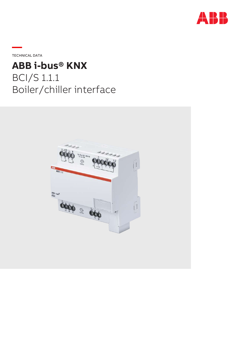

**—**TECHNICAL DATA

# **ABB i-bus® KNX**

BCI/S 1.1.1 Boiler/chiller interface

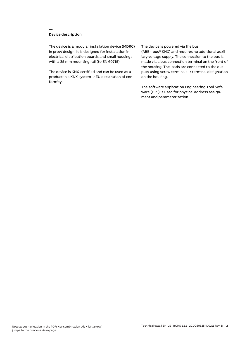## **Device description**

**—**

The device is a modular installation device (MDRC) in proM design. It is designed for installation in electrical distribution boards and small housings with a 35 mm mounting rail (to EN 60715).

The device is KNX-certified and can be used as a product in a KNX system → EU declaration of conformity.

#### The device is powered via the bus

(ABB i-bus® KNX) and requires no additional auxiliary voltage supply. The connection to the bus is made via a bus connection terminal on the front of the housing. The loads are connected to the outputs using screw terminals → terminal designation on the housing.

The software application Engineering Tool Software (ETS) is used for physical address assignment and parameterization.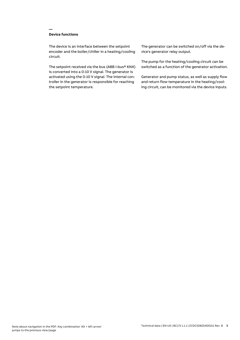## **Device functions**

**—**

The device is an interface between the setpoint encoder and the boiler/chiller in a heating/cooling circuit.

The setpoint received via the bus (ABB i-bus® KNX) is converted into a 0-10 V signal. The generator is activated using the 0-10 V signal. The internal controller in the generator is responsible for reaching the setpoint temperature.

The generator can be switched on/off via the device's generator relay output.

The pump for the heating/cooling circuit can be switched as a function of the generator activation.

Generator and pump status, as well as supply flow and return flow temperature in the heating/cooling circuit, can be monitored via the device inputs.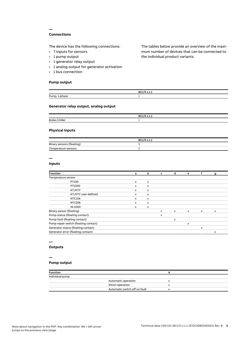## **Connections**

**—**

The device has the following connections:

- 7 inputs for sensors
- 1 pump output
- 1 generator relay output
- 1 analog output for generator activation
- 1 bus connection

#### **Pump output**

The tables below provide an overview of the maximum number of devices that can be connected to the individual product variants.

|                    | ◡<br>----- |
|--------------------|------------|
| <br>−ump,<br>טנויי |            |

## **Generator relay output, analog output**

|                          | P<br>---- |
|--------------------------|-----------|
| <br><b>Boile</b><br>าบle |           |

#### **Physical inputs**

|                           | <b>BCI/S 1.1.1</b> |
|---------------------------|--------------------|
| Binary sensors (floating) |                    |
| Temperature sensors       |                    |

# **—**

## **Inputs**

| <b>Function</b>                       | а                         | b                         | c        | d            | e |              | g |  |
|---------------------------------------|---------------------------|---------------------------|----------|--------------|---|--------------|---|--|
| Temperature sensor                    |                           |                           |          |              |   |              |   |  |
| PT100                                 | $\mathsf{x}$              | x                         |          |              |   |              |   |  |
| PT1000                                | x                         | x                         |          |              |   |              |   |  |
| KT/KTY                                | $\mathsf{x}$              | x                         |          |              |   |              |   |  |
| KT/KTY user-defined                   | $\mathsf{x}$              | x                         |          |              |   |              |   |  |
| NTC10k                                | $\mathsf{x}$              | $\boldsymbol{\mathsf{x}}$ |          |              |   |              |   |  |
| NTC20k                                | $\boldsymbol{\mathsf{x}}$ | x                         |          |              |   |              |   |  |
| NI-1000                               | X                         | x                         |          |              |   |              |   |  |
| Binary sensor (floating)              |                           |                           | $\times$ | $\mathsf{x}$ | x | $\mathsf{x}$ | x |  |
| Pump status (floating contact)        |                           |                           | x        |              |   |              |   |  |
| Pump fault (floating contact)         |                           |                           |          | x            |   |              |   |  |
| Pump repair switch (floating contact) |                           |                           |          |              | x |              |   |  |
| Generator status (floating contact)   |                           |                           |          |              |   | x            |   |  |
| Generator error (floating contact)    |                           |                           |          |              |   |              | x |  |
|                                       |                           |                           |          |              |   |              |   |  |

# **—**

# **Outputs**

#### **—**

## **Pump output**

| <b>Function</b> |                               |   |  |
|-----------------|-------------------------------|---|--|
| Individual pump |                               |   |  |
|                 | Automatic operation           | x |  |
|                 | Direct operation              | x |  |
|                 | Automatic switch off on fault | x |  |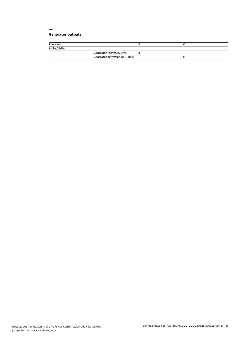## **Generator outputs**

**—**

| <b>Function</b> |                                |  |  |
|-----------------|--------------------------------|--|--|
| Boiler/chiller  |                                |  |  |
|                 | Generator relay (On/Off)       |  |  |
|                 | Generator activation (0  10 V) |  |  |
|                 |                                |  |  |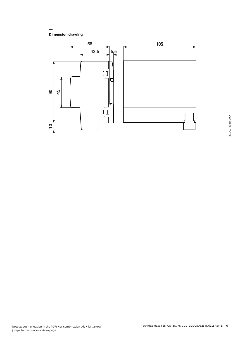**Dimension drawing**

**—**

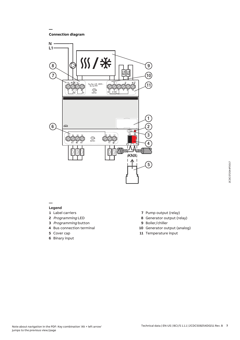**Connection diagram**

**—**



**—**

## **Legend**

- **1** Label carriers
- **2** Programming LED
- **3** Programming button
- **4** Bus connection terminal
- **5** Cover cap
- **6** Binary input
- **7** Pump output (relay)
- **8** Generator output (relay)
- **9** Boiler/chiller
- **10** Generator output (analog)
- **11** Temperature input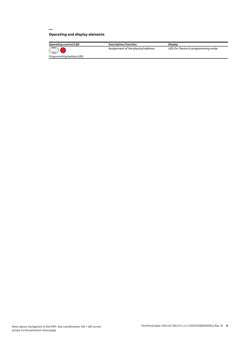# **Operating and display elements**

**—**

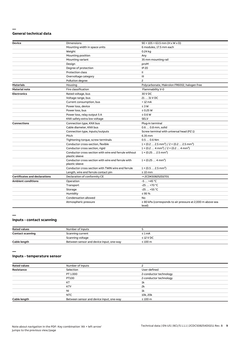#### **— General technical data**

| Device                               | Dimensions                                                              | $90 \times 105 \times 63.5$ mm (H x W x D)                                        |
|--------------------------------------|-------------------------------------------------------------------------|-----------------------------------------------------------------------------------|
|                                      | Mounting width in space units                                           | 6 modules, 17.5 mm each                                                           |
|                                      | Weight                                                                  | 0.24 kg                                                                           |
|                                      | Mounting position                                                       | Any                                                                               |
|                                      | Mounting variant                                                        | 35 mm mounting rail                                                               |
|                                      | Design                                                                  | proM                                                                              |
|                                      | Degree of protection                                                    | <b>IP 20</b>                                                                      |
|                                      | <b>Protection class</b>                                                 | Ш                                                                                 |
|                                      | Overvoltage category                                                    | III                                                                               |
|                                      | Pollution degree                                                        | $\overline{c}$                                                                    |
| <b>Materials</b>                     | Housing                                                                 | Polycarbonate, Makrolon FR6002, halogen free                                      |
| <b>Material note</b>                 | Fire classification                                                     | Flammability V-0                                                                  |
| <b>Electronics</b>                   | Rated voltage, bus                                                      | 30 V DC                                                                           |
|                                      | Voltage range, bus                                                      | 21  31 V DC                                                                       |
|                                      | Current consumption, bus                                                | $< 12 \text{ mA}$                                                                 |
|                                      | Power loss, device                                                      | $\leq 3 W$                                                                        |
|                                      | Power loss, bus                                                         | $\leq$ 0.25 W                                                                     |
|                                      | Power loss, relay output 5 A                                            | $\leq 0.6 W$                                                                      |
|                                      | KNX safety extra low voltage                                            | <b>SELV</b>                                                                       |
| <b>Connections</b>                   | Connection type, KNX bus                                                | Plug-in terminal                                                                  |
|                                      | Cable diameter, KNX bus                                                 | 0.6  0.8 mm, solid                                                                |
|                                      | Connection type, inputs/outputs                                         | Screw terminal with universal head (PZ 1)                                         |
|                                      | Pitch                                                                   | 6.35 mm                                                                           |
|                                      | Tightening torque, screw terminals                                      | $0.50.6$ Nm                                                                       |
|                                      | Conductor cross-section, flexible                                       | $1 \times (0.2 \ldots 2.5 \text{ mm}^2) / 2 \times (0.2 \ldots 2.5 \text{ mm}^2)$ |
|                                      | Conductor cross section, rigid                                          | $1 \times (0.2 \ldots 4 \text{ mm}^2) / 2 \times (0.2 \ldots 4 \text{ mm}^2)$     |
|                                      | Conductor cross section with wire end ferrule without<br>plastic sleeve | $1 \times (0.252.5 \text{ mm}^2)$                                                 |
|                                      | Conductor cross section with wire end ferrule with<br>plastic sleeve    | $1 \times (0.254 \text{ mm}^2)$                                                   |
|                                      | Conductor cross section with TWIN wire end ferrule                      | $1 \times (0.52.5)$ mm <sup>2</sup> )                                             |
|                                      | Length, wire end ferrule contact pin                                    | $\geq 10$ mm                                                                      |
| <b>Certificates and declarations</b> | Declaration of conformity CE                                            | → 2CDK508252D2701                                                                 |
| <b>Ambient conditions</b>            | Operation                                                               | $-5+45$ °C                                                                        |
|                                      | Transport                                                               | $-25+70 °C$                                                                       |
|                                      | Storage                                                                 | $-25+55$ °C                                                                       |
|                                      | Humidity                                                                | $\leq$ 95 %                                                                       |
|                                      | Condensation allowed                                                    | No                                                                                |
|                                      | Atmospheric pressure                                                    | $\geq$ 80 kPa (corresponds to air pressure at 2,000 m above sea<br>level)         |

#### **—**

## **Inputs - contact scanning**

| <b>Rated values</b>     | Number of inputs                         |                |
|-------------------------|------------------------------------------|----------------|
| <b>Contact scanning</b> | Scanning current                         | $\leq 1$ mA    |
|                         | Scanning voltage                         | $\leq$ 12 V DC |
| Cable length            | Between sensor and device input, one-way | $\leq 100$ m   |

**—**

## **Inputs - temperature sensor**

| <b>Rated values</b> | Number of inputs                         |                        |
|---------------------|------------------------------------------|------------------------|
| Resistance          | Selection                                | User-defined           |
|                     | PT 1.000                                 | 2-conductor technology |
|                     | PT100                                    | 2-conductor technology |
|                     | KT                                       | 1k                     |
|                     | <b>KTY</b>                               | 2k                     |
|                     | <b>NI</b>                                | 1k                     |
|                     | NTC                                      | 10k, 20k               |
| Cable length        | Between sensor and device input, one-way | $\leq 100$ m           |
|                     |                                          |                        |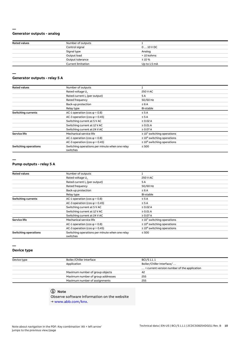## **Generator outputs - analog**

**—**

| <b>Rated values</b> | Number of outputs         |              |  |
|---------------------|---------------------------|--------------|--|
|                     | Control signal            | $010$ V DC   |  |
|                     | Signal type               | Analog       |  |
|                     | Output load               | > 10 kohms   |  |
|                     | Output tolerance          | ±10%         |  |
|                     | <b>Current limitation</b> | Up to 1.5 mA |  |

#### **— Generator outputs - relay 5 A**

| <b>Rated values</b>         | Number of outputs                                          |                                  |
|-----------------------------|------------------------------------------------------------|----------------------------------|
|                             | Rated voltage U <sub>n</sub>                               | 250 V AC                         |
|                             | Rated current I <sub>n</sub> (per output)                  | 5 A                              |
|                             | Rated frequency                                            | 50/60 Hz                         |
|                             | Back-up protection                                         | $\leq 6A$                        |
|                             | Relay type                                                 | Bi-stable                        |
| <b>Switching currents</b>   | AC-1 operation (cos $\varphi$ = 0.8)                       | $\leq$ 5 A                       |
|                             | AC-3 operation (cos $\varphi$ = 0.45)                      | $\leq$ 5 A                       |
|                             | Switching current at 5 V AC                                | $\geq 0.02$ A                    |
|                             | Switching current at 12 V AC                               | $\geq 0.01$ A                    |
|                             | Switching current at 24 V AC                               | $\geq$ 0.07 A                    |
| <b>Service life</b>         | Mechanical service life                                    | $\geq 10^7$ switching operations |
|                             | AC-1 operation (cos $\varphi$ = 0.8)                       | $\geq 10^6$ switching operations |
|                             | AC-3 operation (cos $\varphi$ = 0.45)                      | $\geq 10^6$ switching operations |
| <b>Switching operations</b> | Switching operations per minute when one relay<br>switches | $\leq 500$                       |

**—**

#### **Pump outputs - relay 5 A**

| <b>Rated values</b>         | Number of outputs                                          |                                  |  |
|-----------------------------|------------------------------------------------------------|----------------------------------|--|
|                             | Rated voltage U <sub>n</sub>                               | <b>250 V AC</b>                  |  |
|                             | Rated current I <sub>n</sub> (per output)                  | 5A                               |  |
|                             | Rated frequency                                            | 50/60 Hz                         |  |
|                             | Back-up protection                                         | $\leq 6A$                        |  |
|                             | Relay type                                                 | Bi-stable                        |  |
| <b>Switching currents</b>   | AC-1 operation (cos $\varphi$ = 0.8)                       | $\leq$ 5 A                       |  |
|                             | AC-3 operation (cos $\varphi$ = 0.45)                      | $\leq$ 5 A                       |  |
|                             | Switching current at 5 V AC                                | $\geq 0.02$ A                    |  |
|                             | Switching current at 12 V AC                               | $\geq 0.01$ A                    |  |
|                             | Switching current at 24 V AC                               | $\geq 0.07$ A                    |  |
| <b>Service life</b>         | Mechanical service life                                    | $\geq 10^7$ switching operations |  |
|                             | AC-1 operation (cos $\varphi$ = 0.8)                       | $\geq 10^6$ switching operations |  |
|                             | AC-3 operation (cos $\varphi$ = 0.45)                      | $\geq 10^6$ switching operations |  |
| <b>Switching operations</b> | Switching operations per minute when one relay<br>switches | $\leq 500$                       |  |

#### **—**

#### **Device type**

| Device type | Boiler/Chiller Interface          | BCI/S 1.1.1                                          |  |
|-------------|-----------------------------------|------------------------------------------------------|--|
|             | Application                       | Boiler/Chiller Interface/                            |  |
|             |                                   | $\ldots$ = current version number of the application |  |
|             | Maximum number of group objects   | 42                                                   |  |
|             | Maximum number of group addresses | 255                                                  |  |
|             | Maximum number of assignments     | 255                                                  |  |
|             |                                   |                                                      |  |

# **Note**

Observe software information on the website

→ www.abb.com/knx.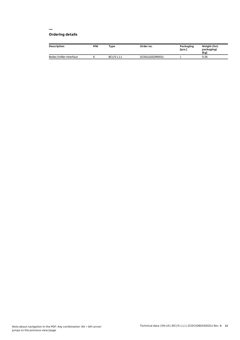#### **— Ordering details**

| <b>Description</b>       | MW | Type        | Order no.       | Packaging<br>[pcs.] | Weight (incl.<br>packaging)<br>[kg] |
|--------------------------|----|-------------|-----------------|---------------------|-------------------------------------|
| Boiler/chiller interface |    | BCI/S 1.1.1 | 2CDG110222R0011 |                     | 0.26                                |